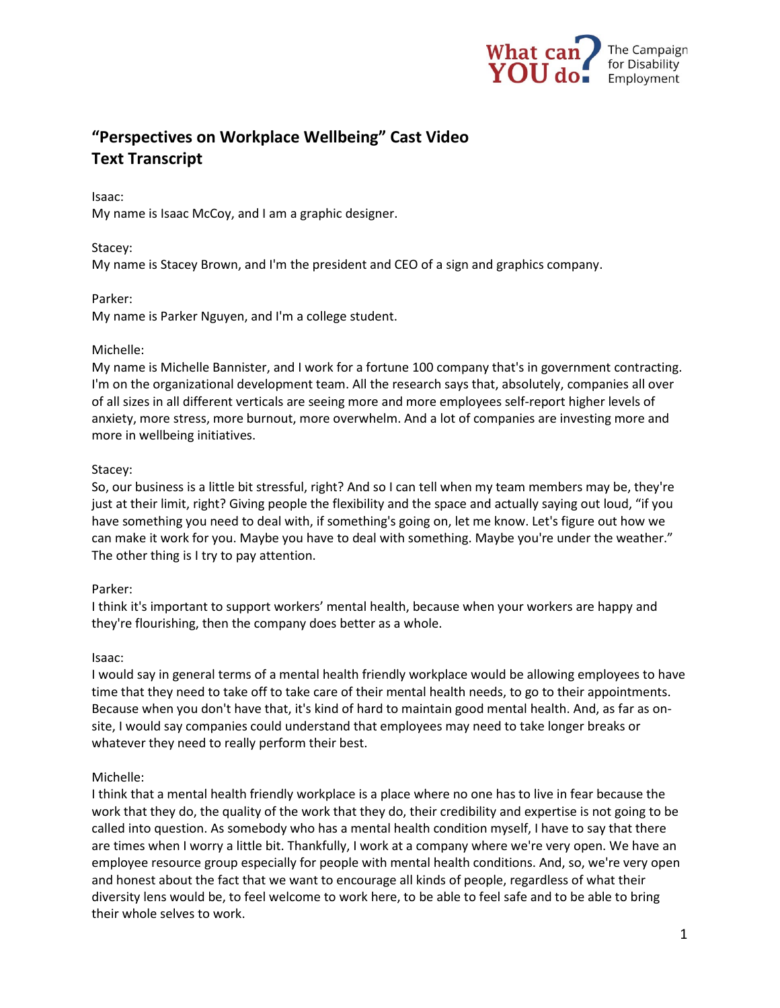

# **"Perspectives on Workplace Wellbeing" Cast Video Text Transcript**

#### Isaac:

My name is Isaac McCoy, and I am a graphic designer.

## Stacey:

My name is Stacey Brown, and I'm the president and CEO of a sign and graphics company.

## Parker:

My name is Parker Nguyen, and I'm a college student.

## Michelle:

My name is Michelle Bannister, and I work for a fortune 100 company that's in government contracting. I'm on the organizational development team. All the research says that, absolutely, companies all over of all sizes in all different verticals are seeing more and more employees self-report higher levels of anxiety, more stress, more burnout, more overwhelm. And a lot of companies are investing more and more in wellbeing initiatives.

## Stacey:

So, our business is a little bit stressful, right? And so I can tell when my team members may be, they're just at their limit, right? Giving people the flexibility and the space and actually saying out loud, "if you have something you need to deal with, if something's going on, let me know. Let's figure out how we can make it work for you. Maybe you have to deal with something. Maybe you're under the weather." The other thing is I try to pay attention.

# Parker:

I think it's important to support workers' mental health, because when your workers are happy and they're flourishing, then the company does better as a whole.

#### Isaac:

I would say in general terms of a mental health friendly workplace would be allowing employees to have time that they need to take off to take care of their mental health needs, to go to their appointments. Because when you don't have that, it's kind of hard to maintain good mental health. And, as far as onsite, I would say companies could understand that employees may need to take longer breaks or whatever they need to really perform their best.

# Michelle:

I think that a mental health friendly workplace is a place where no one has to live in fear because the work that they do, the quality of the work that they do, their credibility and expertise is not going to be called into question. As somebody who has a mental health condition myself, I have to say that there are times when I worry a little bit. Thankfully, I work at a company where we're very open. We have an employee resource group especially for people with mental health conditions. And, so, we're very open and honest about the fact that we want to encourage all kinds of people, regardless of what their diversity lens would be, to feel welcome to work here, to be able to feel safe and to be able to bring their whole selves to work.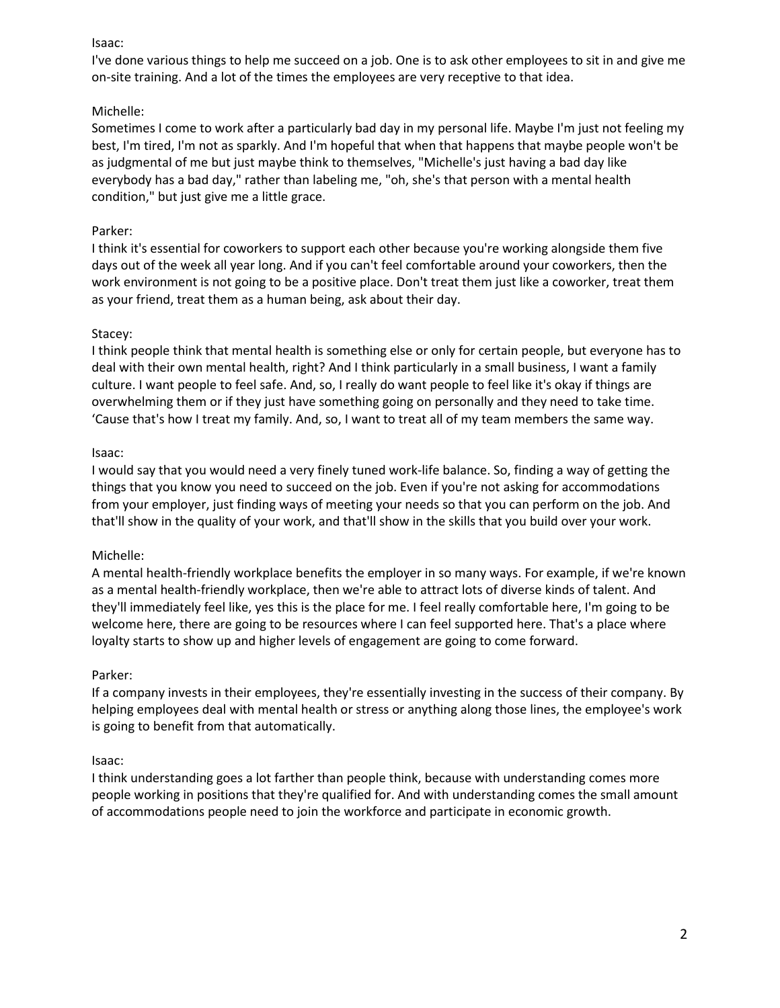# Isaac:

I've done various things to help me succeed on a job. One is to ask other employees to sit in and give me on-site training. And a lot of the times the employees are very receptive to that idea.

# Michelle:

Sometimes I come to work after a particularly bad day in my personal life. Maybe I'm just not feeling my best, I'm tired, I'm not as sparkly. And I'm hopeful that when that happens that maybe people won't be as judgmental of me but just maybe think to themselves, "Michelle's just having a bad day like everybody has a bad day," rather than labeling me, "oh, she's that person with a mental health condition," but just give me a little grace.

# Parker:

I think it's essential for coworkers to support each other because you're working alongside them five days out of the week all year long. And if you can't feel comfortable around your coworkers, then the work environment is not going to be a positive place. Don't treat them just like a coworker, treat them as your friend, treat them as a human being, ask about their day.

# Stacey:

I think people think that mental health is something else or only for certain people, but everyone has to deal with their own mental health, right? And I think particularly in a small business, I want a family culture. I want people to feel safe. And, so, I really do want people to feel like it's okay if things are overwhelming them or if they just have something going on personally and they need to take time. 'Cause that's how I treat my family. And, so, I want to treat all of my team members the same way.

# Isaac:

I would say that you would need a very finely tuned work-life balance. So, finding a way of getting the things that you know you need to succeed on the job. Even if you're not asking for accommodations from your employer, just finding ways of meeting your needs so that you can perform on the job. And that'll show in the quality of your work, and that'll show in the skills that you build over your work.

# Michelle:

A mental health-friendly workplace benefits the employer in so many ways. For example, if we're known as a mental health-friendly workplace, then we're able to attract lots of diverse kinds of talent. And they'll immediately feel like, yes this is the place for me. I feel really comfortable here, I'm going to be welcome here, there are going to be resources where I can feel supported here. That's a place where loyalty starts to show up and higher levels of engagement are going to come forward.

# Parker:

If a company invests in their employees, they're essentially investing in the success of their company. By helping employees deal with mental health or stress or anything along those lines, the employee's work is going to benefit from that automatically.

# Isaac:

I think understanding goes a lot farther than people think, because with understanding comes more people working in positions that they're qualified for. And with understanding comes the small amount of accommodations people need to join the workforce and participate in economic growth.